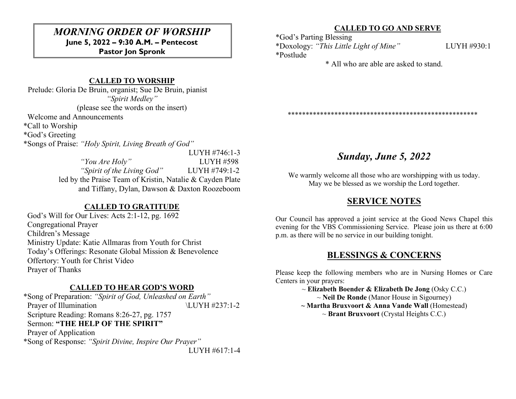# *MORNING ORDER OF WORSHIP*

**June 5, 2022 – 9:30 A.M. – Pentecost Pastor Jon Spronk**

### **CALLED TO WORSHIP**

 Prelude: Gloria De Bruin, organist; Sue De Bruin, pianist *"Spirit Medley"* (please see the words on the insert)

Welcome and Announcements

\*Call to Worship

\*God's Greeting

\*Songs of Praise: *"Holy Spirit, Living Breath of God"*

LUYH #746:1-3 *"You Are Holy"* LUYH #598 *"Spirit of the Living God"* LUYH #749:1-2 led by the Praise Team of Kristin, Natalie & Cayden Plate and Tiffany, Dylan, Dawson & Daxton Roozeboom

### **CALLED TO GRATITUDE**

 God's Will for Our Lives: Acts 2:1-12, pg. 1692 Congregational Prayer Children's Message Ministry Update: Katie Allmaras from Youth for Christ Today's Offerings: Resonate Global Mission & Benevolence Offertory: Youth for Christ Video Prayer of Thanks

#### **CALLED TO HEAR GOD'S WORD**

\*Song of Preparation: *"Spirit of God, Unleashed on Earth"* Prayer of Illumination  $\text{LUYH } \#237:1-2$  Scripture Reading: Romans 8:26-27, pg. 1757 Sermon: **"THE HELP OF THE SPIRIT"** Prayer of Application \*Song of Response: *"Spirit Divine, Inspire Our Prayer"* LUYH #617:1-4

#### **CALLED TO GO AND SERVE**

\*God's Parting Blessing

\*Doxology: *"This Little Light of Mine"* LUYH #930:1 \*Postlude

\* All who are able are asked to stand.

\*\*\*\*\*\*\*\*\*\*\*\*\*\*\*\*\*\*\*\*\*\*\*\*\*\*\*\*\*\*\*\*\*\*\*\*\*\*\*\*\*\*\*\*\*\*\*\*\*\*\*\*\*

## *Sunday, June 5, 2022*

We warmly welcome all those who are worshipping with us today. May we be blessed as we worship the Lord together.

### **SERVICE NOTES**

Our Council has approved a joint service at the Good News Chapel this evening for the VBS Commissioning Service. Please join us there at 6:00 p.m. as there will be no service in our building tonight.

### **BLESSINGS & CONCERNS**

Please keep the following members who are in Nursing Homes or Care Centers in your prayers:

~ **Elizabeth Boender & Elizabeth De Jong** (Osky C.C.) ~ **Neil De Ronde** (Manor House in Sigourney) **~ Martha Bruxvoort & Anna Vande Wall** (Homestead) ~ **Brant Bruxvoort** (Crystal Heights C.C.)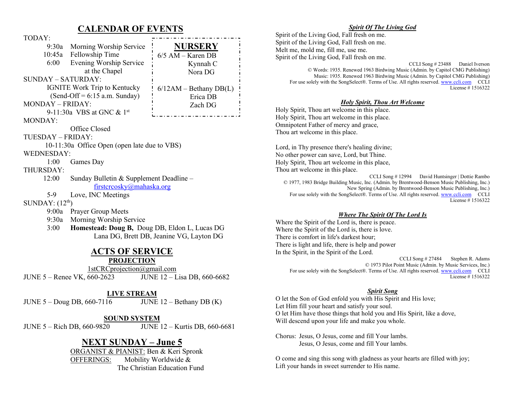### **CALENDAR OF EVENTS**

| TODAY:                                                      |                                         |                                 |
|-------------------------------------------------------------|-----------------------------------------|---------------------------------|
|                                                             | 9:30a Morning Worship Service           | <b>NURSERY</b>                  |
|                                                             | 10:45a Fellowship Time                  | $6/5$ AM – Karen DB             |
| 6:00                                                        | Evening Worship Service                 | Kynnah C                        |
|                                                             | at the Chapel                           | Nora DG                         |
| <b>SUNDAY - SATURDAY:</b>                                   |                                         |                                 |
| <b>IGNITE Work Trip to Kentucky</b>                         |                                         | $6/12AM - \text{Bethany} DB(L)$ |
| $(Send-Off = 6:15$ a.m. Sunday)                             |                                         | Erica DB                        |
| MONDAY - FRIDAY:                                            |                                         | Zach DG                         |
| 9-11:30a VBS at GNC $& 1st$                                 |                                         |                                 |
| <b>MONDAY:</b>                                              |                                         |                                 |
| Office Closed                                               |                                         |                                 |
| TUESDAY – FRIDAY:                                           |                                         |                                 |
| 10-11:30a Office Open (open late due to VBS)                |                                         |                                 |
| <b>WEDNESDAY:</b>                                           |                                         |                                 |
| 1:00<br>Games Day                                           |                                         |                                 |
| THURSDAY:                                                   |                                         |                                 |
| 12:00                                                       | Sunday Bulletin & Supplement Deadline - |                                 |
| firstcrcosky@mahaska.org                                    |                                         |                                 |
| Love, INC Meetings<br>$5-9$                                 |                                         |                                 |
| SUNDAY: $(12th)$                                            |                                         |                                 |
|                                                             | 9:00a Prayer Group Meets                |                                 |
| 9:30a                                                       | Morning Worship Service                 |                                 |
| Homestead: Doug B, Doug DB, Eldon L, Lucas DG<br>$3:00^{-}$ |                                         |                                 |
| Lana DG, Brett DB, Jeanine VG, Layton DG                    |                                         |                                 |
| <b>ACTS OF SERVICE</b>                                      |                                         |                                 |
| <b>PROJECTION</b>                                           |                                         |                                 |

[1stCRCprojection@gmail.com](mailto:1stCRCprojection@gmail.com) JUNE 5 – Renee VK, 660-2623 JUNE 12 – Lisa DB, 660-6682

#### **LIVE STREAM**

JUNE 5 – Doug DB, 660-7116 JUNE 12 – Bethany DB (K)

**SOUND SYSTEM** JUNE 5 – Rich DB, 660-9820 JUNE 12 – Kurtis DB, 660-6681

### **NEXT SUNDAY – June 5**

ORGANIST & PIANIST: Ben & Keri Spronk OFFERINGS: Mobility Worldwide & The Christian Education Fund

#### *Spirit Of The Living God*

Spirit of the Living God, Fall fresh on me. Spirit of the Living God, Fall fresh on me. Melt me, mold me, fill me, use me. Spirit of the Living God, Fall fresh on me.

> CCLI Song # 23488 Daniel Iverson © Words: 1935. Renewed 1963 Birdwing Music (Admin. by Capitol CMG Publishing) Music: 1935. Renewed 1963 Birdwing Music (Admin. by Capitol CMG Publishing) For use solely with the SongSelect®. Terms of Use. All rights reserved[. www.ccli.com](http://www.ccli.com/) CCLI License # 1516322

#### *Holy Spirit, Thou Art Welcome*

Holy Spirit, Thou art welcome in this place. Holy Spirit, Thou art welcome in this place. Omnipotent Father of mercy and grace, Thou art welcome in this place.

Lord, in Thy presence there's healing divine; No other power can save, Lord, but Thine. Holy Spirit, Thou art welcome in this place, Thou art welcome in this place.

CCLI Song # 12994 David Huntsinger | Dottie Rambo © 1977, 1983 Bridge Building Music, Inc. (Admin. by Brentwood-Benson Music Publishing, Inc.) New Spring (Admin. by Brentwood-Benson Music Publishing, Inc.) For use solely with the SongSelect®. Terms of Use. All rights reserved[. www.ccli.com](http://www.ccli.com/) CCLI License # 1516322

#### *Where The Spirit Of The Lord Is*

Where the Spirit of the Lord is, there is peace. Where the Spirit of the Lord is, there is love. There is comfort in life's darkest hour; There is light and life, there is help and power In the Spirit, in the Spirit of the Lord.

> CCLI Song # 27484 Stephen R. Adams © 1973 Pilot Point Music (Admin. by Music Services, Inc.) For use solely with the SongSelect®. Terms of Use. All rights reserved[. www.ccli.com](http://www.ccli.com/) CCLI License # 1516322

#### *Spirit Song*

O let the Son of God enfold you with His Spirit and His love; Let Him fill your heart and satisfy your soul. O let Him have those things that hold you and His Spirit, like a dove, Will descend upon your life and make you whole.

Chorus: Jesus, O Jesus, come and fill Your lambs. Jesus, O Jesus, come and fill Your lambs.

O come and sing this song with gladness as your hearts are filled with joy; Lift your hands in sweet surrender to His name.